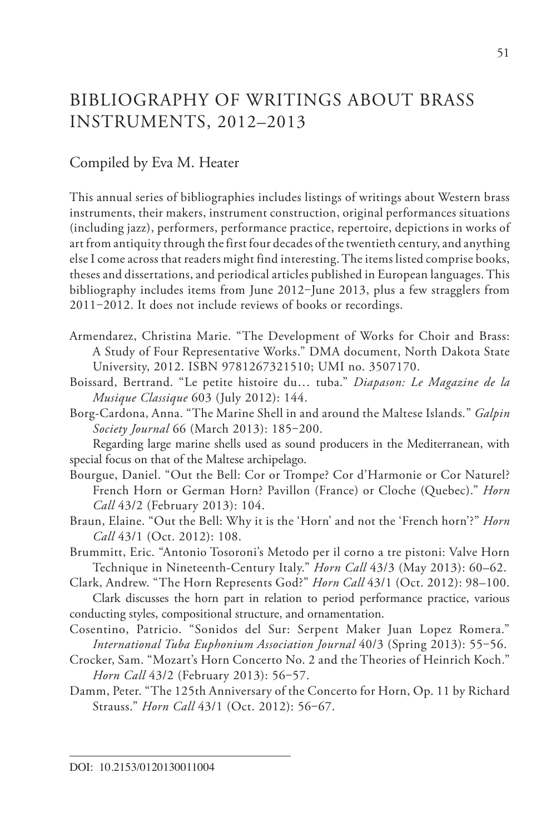# BIBLIOGRAPHY OF WRITINGS ABOUT BRASS INSTRUMENTS, 2012–2013

# Compiled by Eva M. Heater

This annual series of bibliographies includes listings of writings about Western brass instruments, their makers, instrument construction, original performances situations (including jazz), performers, performance practice, repertoire, depictions in works of art from antiquity through the first four decades of the twentieth century, and anything else I come across that readers might find interesting. The items listed comprise books, theses and dissertations, and periodical articles published in European languages. This bibliography includes items from June 2012–June 2013, plus a few stragglers from 2011-2012. It does not include reviews of books or recordings.

- Armendarez, Christina Marie. "The Development of Works for Choir and Brass: A Study of Four Representative Works." DMA document, North Dakota State University, 2012. ISBN 9781267321510; UMI no. 3507170.
- Boissard, Bertrand. "Le petite histoire du… tuba." *Diapason: Le Magazine de la Musique Classique* 603 (July 2012): 144.
- Borg-Cardona, Anna. "The Marine Shell in and around the Maltese Islands*.*" *Galpin Society Journal* 66 (March 2013): 185-200.

Regarding large marine shells used as sound producers in the Mediterranean, with special focus on that of the Maltese archipelago.

- Bourgue, Daniel. "Out the Bell: Cor or Trompe? Cor d'Harmonie or Cor Naturel? French Horn or German Horn? Pavillon (France) or Cloche (Quebec)." *Horn Call* 43/2 (February 2013): 104.
- Braun, Elaine. "Out the Bell: Why it is the 'Horn' and not the 'French horn'?" *Horn Call* 43/1 (Oct. 2012): 108.
- Brummitt, Eric. "Antonio Tosoroni's Metodo per il corno a tre pistoni: Valve Horn Technique in Nineteenth-Century Italy." *Horn Call* 43/3 (May 2013): 60–62.
- Clark, Andrew. "The Horn Represents God?" *Horn Call* 43/1 (Oct. 2012): 98–100. Clark discusses the horn part in relation to period performance practice, various
- conducting styles, compositional structure, and ornamentation.
- Cosentino, Patricio. "Sonidos del Sur: Serpent Maker Juan Lopez Romera." *International Tuba Euphonium Association Journal* 40/3 (Spring 2013): 55‒56.
- Crocker, Sam. "Mozart's Horn Concerto No. 2 and the Theories of Heinrich Koch." *Horn Call* 43/2 (February 2013): 56‒57.
- Damm, Peter. "The 125th Anniversary of the Concerto for Horn, Op. 11 by Richard Strauss." *Horn Call* 43/1 (Oct. 2012): 56‒67.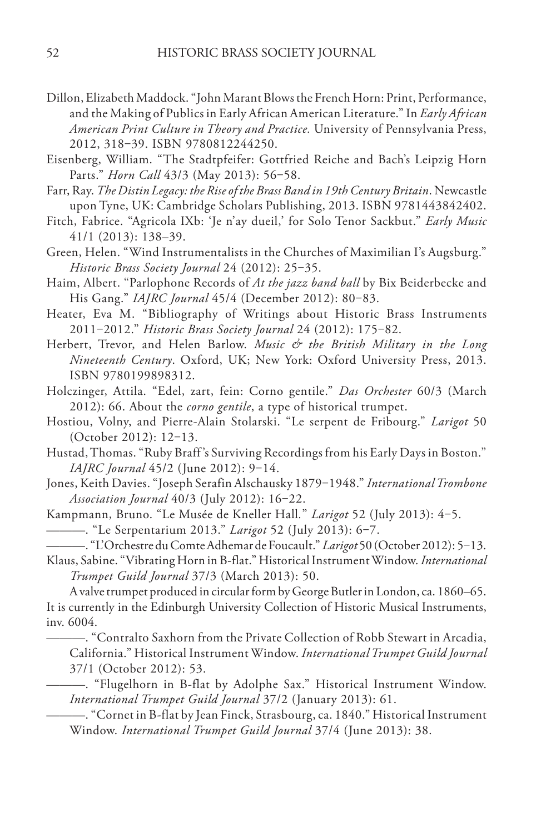- Dillon, Elizabeth Maddock. "John Marant Blows the French Horn: Print, Performance, and the Making of Publics in Early African American Literature." In *Early African American Print Culture in Theory and Practice.* University of Pennsylvania Press, 2012, 318‒39. ISBN 9780812244250.
- Eisenberg, William. "The Stadtpfeifer: Gottfried Reiche and Bach's Leipzig Horn Parts." *Horn Call* 43/3 (May 2013): 56‒58.
- Farr, Ray. *The Distin Legacy: the Rise of the Brass Band in 19th Century Britain*. Newcastle upon Tyne, UK: Cambridge Scholars Publishing, 2013. ISBN 9781443842402.
- Fitch, Fabrice. "Agricola IXb: 'Je n'ay dueil,' for Solo Tenor Sackbut." *Early Music* 41/1 (2013): 138–39.
- Green, Helen. "Wind Instrumentalists in the Churches of Maximilian I's Augsburg." *Historic Brass Society Journal* 24 (2012): 25‒35.
- Haim, Albert. "Parlophone Records of *At the jazz band ball* by Bix Beiderbecke and His Gang." *IAJRC Journal* 45/4 (December 2012): 80‒83.
- Heater, Eva M. "Bibliography of Writings about Historic Brass Instruments 2011‒2012." *Historic Brass Society Journal* 24 (2012): 175‒82.
- Herbert, Trevor, and Helen Barlow. *Music & the British Military in the Long Nineteenth Century*. Oxford, UK; New York: Oxford University Press, 2013. ISBN 9780199898312.
- Holczinger, Attila. "Edel, zart, fein: Corno gentile." *Das Orchester* 60/3 (March 2012): 66. About the *corno gentile*, a type of historical trumpet.
- Hostiou, Volny, and Pierre-Alain Stolarski. "Le serpent de Fribourg." *Larigot* 50 (October 2012): 12‒13.
- Hustad, Thomas. "Ruby Braff 's Surviving Recordings from his Early Days in Boston." *IAJRC Journal* 45/2 (June 2012): 9‒14.
- Jones, Keith Davies. "Joseph Serafin Alschausky 1879-1948." *International Trombone Association Journal* 40/3 (July 2012): 16‒22.

Kampmann, Bruno. "Le Musée de Kneller Hall*.*" *Larigot* 52 (July 2013): 4‒5.

———. "Le Serpentarium 2013." *Larigot* 52 (July 2013): 6‒7.

———. "L'Orchestre du Comte Adhemar de Foucault." *Larigot* 50 (October 2012): 5‒13.

Klaus, Sabine. "Vibrating Horn in B-flat." Historical Instrument Window. *International Trumpet Guild Journal* 37/3 (March 2013): 50.

A valve trumpet produced in circular form by George Butler in London, ca. 1860–65. It is currently in the Edinburgh University Collection of Historic Musical Instruments, inv. 6004.

———. "Contralto Saxhorn from the Private Collection of Robb Stewart in Arcadia, California." Historical Instrument Window. *International Trumpet Guild Journal* 37/1 (October 2012): 53.

———. "Flugelhorn in B-flat by Adolphe Sax." Historical Instrument Window. *International Trumpet Guild Journal* 37/2 (January 2013): 61.

———. "Cornet in B-flat by Jean Finck, Strasbourg, ca. 1840." Historical Instrument Window. *International Trumpet Guild Journal* 37/4 (June 2013): 38.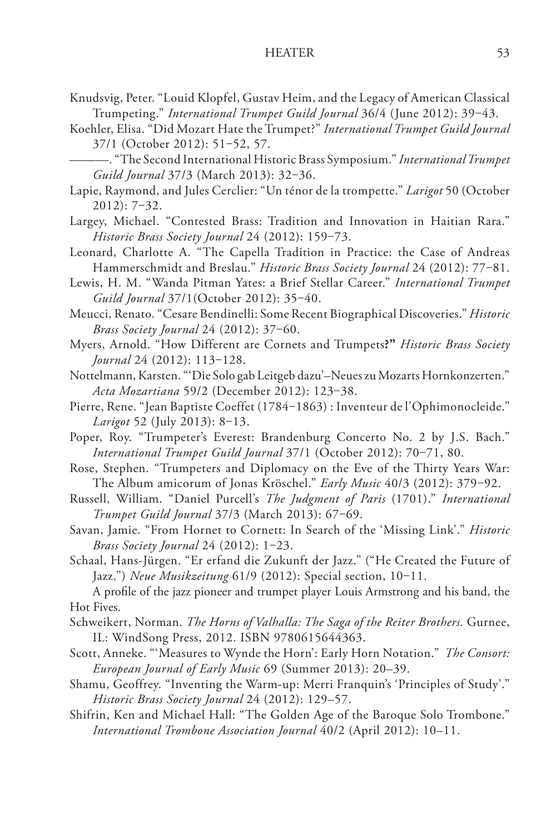#### HEATER 53

- Knudsvig, Peter. "Louid Klopfel, Gustav Heim, and the Legacy of American Classical Trumpeting." *International Trumpet Guild Journal* 36/4 (June 2012): 39‒43.
- Koehler, Elisa. "Did Mozart Hate the Trumpet?" *International Trumpet Guild Journal* 37/1 (October 2012): 51‒52, 57.

- Lapie, Raymond, and Jules Cerclier: "Un ténor de la trompette." *Larigot* 50 (October 2012): 7‒32.
- Largey, Michael. "Contested Brass: Tradition and Innovation in Haitian Rara." *Historic Brass Society Journal* 24 (2012): 159‒73.
- Leonard, Charlotte A. "The Capella Tradition in Practice: the Case of Andreas Hammerschmidt and Breslau." *Historic Brass Society Journal* 24 (2012): 77‒81.
- Lewis, H. M. "Wanda Pitman Yates: a Brief Stellar Career." *International Trumpet Guild Journal* 37/1(October 2012): 35‒40.
- Meucci, Renato. "Cesare Bendinelli: Some Recent Biographical Discoveries." *Historic Brass Society Journal* 24 (2012): 37‒60.
- Myers, Arnold. "How Different are Cornets and Trumpets**?"** *Historic Brass Society Journal* 24 (2012): 113‒128.
- Nottelmann, Karsten. "'Die Solo gab Leitgeb dazu'–Neues zu Mozarts Hornkonzerten." *Acta Mozartiana* 59/2 (December 2012): 123‒38.
- Pierre, Rene. "Jean Baptiste Coeffet (1784-1863) : Inventeur de l'Ophimonocleide." *Larigot* 52 (July 2013): 8‒13.
- Poper, Roy. "Trumpeter's Everest: Brandenburg Concerto No. 2 by J.S. Bach." *International Trumpet Guild Journal* 37/1 (October 2012): 70‒71, 80.
- Rose, Stephen. "Trumpeters and Diplomacy on the Eve of the Thirty Years War: The Album amicorum of Jonas Kröschel." *Early Music* 40/3 (2012): 379-92.
- Russell, William. "Daniel Purcell's *The Judgment of Paris* (1701)." *International Trumpet Guild Journal* 37/3 (March 2013): 67‒69.
- Savan, Jamie. "From Hornet to Cornett: In Search of the 'Missing Link'." *Historic Brass Society Journal* 24 (2012): 1‒23.
- Schaal, Hans-Jürgen. "Er erfand die Zukunft der Jazz." ("He Created the Future of Jazz.") *Neue Musikzeitung* 61/9 (2012): Special section, 10-11.

A profile of the jazz pioneer and trumpet player Louis Armstrong and his band, the Hot Fives.

- Schweikert, Norman. *The Horns of Valhalla: The Saga of the Reiter Brothers.* Gurnee, IL: WindSong Press, 2012. ISBN 9780615644363.
- Scott, Anneke. "'Measures to Wynde the Horn': Early Horn Notation." *The Consort: European Journal of Early Music* 69 (Summer 2013): 20–39.
- Shamu, Geoffrey. "Inventing the Warm-up: Merri Franquin's 'Principles of Study'." *Historic Brass Society Journal* 24 (2012): 129–57.
- Shifrin, Ken and Michael Hall: "The Golden Age of the Baroque Solo Trombone." *International Trombone Association Journal* 40/2 (April 2012): 10–11.

<sup>———. &</sup>quot;The Second International Historic Brass Symposium." *International Trumpet Guild Journal* 37/3 (March 2013): 32‒36.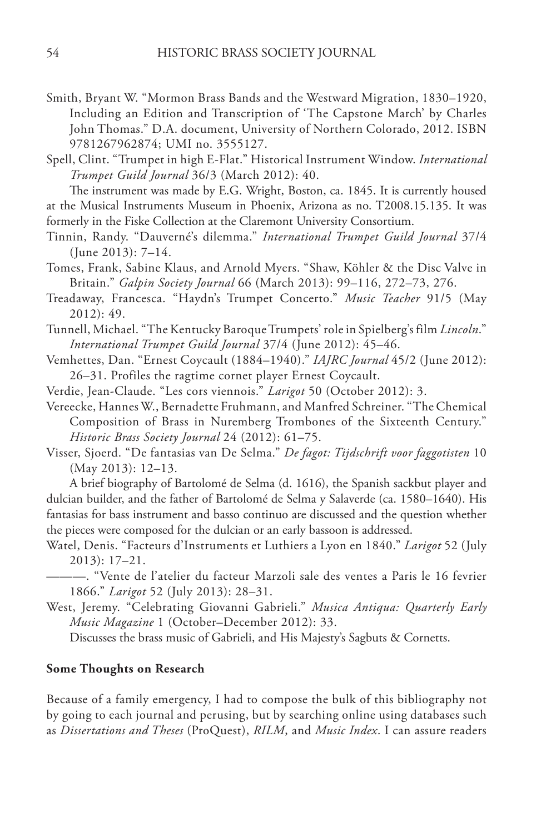- Smith, Bryant W. "Mormon Brass Bands and the Westward Migration, 1830–1920, Including an Edition and Transcription of 'The Capstone March' by Charles John Thomas." D.A. document, University of Northern Colorado, 2012. ISBN 9781267962874; UMI no. 3555127.
- Spell, Clint. "Trumpet in high E-Flat." Historical Instrument Window. *International Trumpet Guild Journal* 36/3 (March 2012): 40.

The instrument was made by E.G. Wright, Boston, ca. 1845. It is currently housed at the Musical Instruments Museum in Phoenix, Arizona as no. T2008.15.135. It was formerly in the Fiske Collection at the Claremont University Consortium.

- Tinnin, Randy. "Dauverné's dilemma." *International Trumpet Guild Journal* 37/4 (June 2013): 7–14.
- Tomes, Frank, Sabine Klaus, and Arnold Myers. "Shaw, Köhler & the Disc Valve in Britain." *Galpin Society Journal* 66 (March 2013): 99–116, 272–73, 276.
- Treadaway, Francesca. "Haydn's Trumpet Concerto." *Music Teacher* 91/5 (May 2012): 49.

Tunnell, Michael. "The Kentucky Baroque Trumpets' role in Spielberg's film *Lincoln*." *International Trumpet Guild Journal* 37/4 (June 2012): 45–46.

- Vemhettes, Dan. "Ernest Coycault (1884–1940)." *IAJRC Journal* 45/2 (June 2012): 26–31. Profiles the ragtime cornet player Ernest Coycault.
- Verdie, Jean-Claude. "Les cors viennois." *Larigot* 50 (October 2012): 3.

Vereecke, Hannes W., Bernadette Fruhmann, and Manfred Schreiner. "The Chemical Composition of Brass in Nuremberg Trombones of the Sixteenth Century." *Historic Brass Society Journal* 24 (2012): 61–75.

Visser, Sjoerd. "De fantasias van De Selma." *De fagot: Tijdschrift voor faggotisten* 10 (May 2013): 12–13.

A brief biography of Bartolomé de Selma (d. 1616), the Spanish sackbut player and dulcian builder, and the father of Bartolomé de Selma y Salaverde (ca. 1580–1640). His fantasias for bass instrument and basso continuo are discussed and the question whether the pieces were composed for the dulcian or an early bassoon is addressed.

- Watel, Denis. "Facteurs d'Instruments et Luthiers a Lyon en 1840." *Larigot* 52 (July 2013): 17–21.
- ———. "Vente de l'atelier du facteur Marzoli sale des ventes a Paris le 16 fevrier 1866." *Larigot* 52 (July 2013): 28–31.
- West, Jeremy. "Celebrating Giovanni Gabrieli." *Musica Antiqua: Quarterly Early Music Magazine* 1 (October–December 2012): 33.

Discusses the brass music of Gabrieli, and His Majesty's Sagbuts & Cornetts.

### **Some Thoughts on Research**

Because of a family emergency, I had to compose the bulk of this bibliography not by going to each journal and perusing, but by searching online using databases such as *Dissertations and Theses* (ProQuest), *RILM*, and *Music Index*. I can assure readers